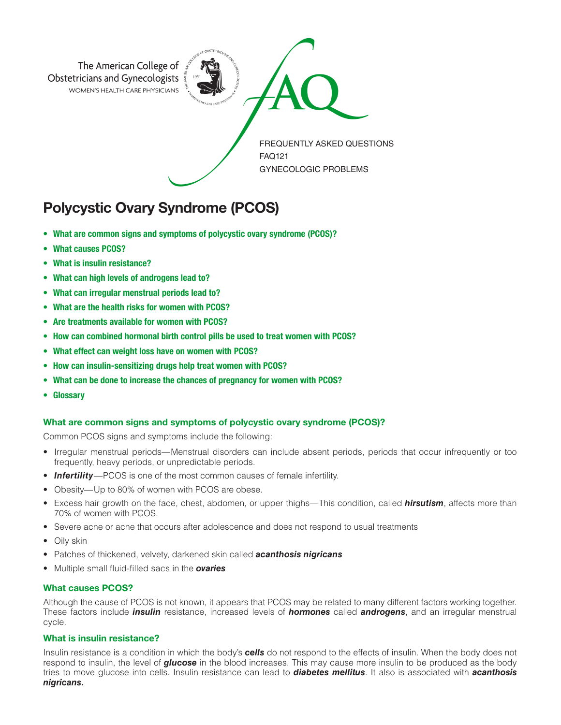

# Polycystic Ovary Syndrome (PCOS)

- What are common signs and symptoms of polycystic ovary syndrome (PCOS)?
- What causes PCOS?
- What is insulin resistance?
- What can high levels of androgens lead to?
- What can irregular menstrual periods lead to?
- What are the health risks for women with PCOS?
- Are treatments available for women with PCOS?
- How can combined hormonal birth control pills be used to treat women with PCOS?
- What effect can weight loss have on women with PCOS?
- How can insulin-sensitizing drugs help treat women with PCOS?
- What can be done to increase the chances of pregnancy for women with PCOS?
- Glossary

### What are common signs and symptoms of polycystic ovary syndrome (PCOS)?

Common PCOS signs and symptoms include the following:

- Irregular menstrual periods—Menstrual disorders can include absent periods, periods that occur infrequently or too frequently, heavy periods, or unpredictable periods.
- **Infertility**—PCOS is one of the most common causes of female infertility.
- Obesity—Up to 80% of women with PCOS are obese.
- Excess hair growth on the face, chest, abdomen, or upper thighs—This condition, called *hirsutism*, affects more than 70% of women with PCOS.
- Severe acne or acne that occurs after adolescence and does not respond to usual treatments
- Oily skin
- Patches of thickened, velvety, darkened skin called *acanthosis nigricans*
- Multiple small fluid-filled sacs in the *ovaries*

## What causes PCOS?

Although the cause of PCOS is not known, it appears that PCOS may be related to many different factors working together. These factors include *insulin* resistance, increased levels of *hormones* called *androgens*, and an irregular menstrual cycle.

#### What is insulin resistance?

Insulin resistance is a condition in which the body's *cells* do not respond to the effects of insulin. When the body does not respond to insulin, the level of *glucose* in the blood increases. This may cause more insulin to be produced as the body tries to move glucose into cells. Insulin resistance can lead to *diabetes mellitus*. It also is associated with *acanthosis nigricans.*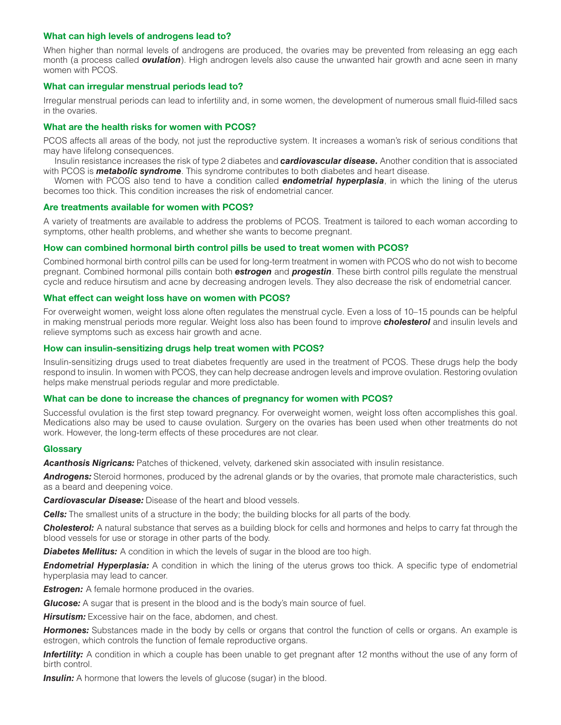#### What can high levels of androgens lead to?

When higher than normal levels of androgens are produced, the ovaries may be prevented from releasing an egg each month (a process called *ovulation*). High androgen levels also cause the unwanted hair growth and acne seen in many women with PCOS.

#### What can irregular menstrual periods lead to?

Irregular menstrual periods can lead to infertility and, in some women, the development of numerous small fluid-filled sacs in the ovaries.

#### What are the health risks for women with PCOS?

PCOS affects all areas of the body, not just the reproductive system. It increases a woman's risk of serious conditions that may have lifelong consequences.

Insulin resistance increases the risk of type 2 diabetes and *cardiovascular disease.* Another condition that is associated with PCOS is *metabolic syndrome*. This syndrome contributes to both diabetes and heart disease.

Women with PCOS also tend to have a condition called *endometrial hyperplasia*, in which the lining of the uterus becomes too thick. This condition increases the risk of endometrial cancer.

#### Are treatments available for women with PCOS?

A variety of treatments are available to address the problems of PCOS. Treatment is tailored to each woman according to symptoms, other health problems, and whether she wants to become pregnant.

#### How can combined hormonal birth control pills be used to treat women with PCOS?

Combined hormonal birth control pills can be used for long-term treatment in women with PCOS who do not wish to become pregnant. Combined hormonal pills contain both *estrogen* and *progestin*. These birth control pills regulate the menstrual cycle and reduce hirsutism and acne by decreasing androgen levels. They also decrease the risk of endometrial cancer.

#### What effect can weight loss have on women with PCOS?

For overweight women, weight loss alone often regulates the menstrual cycle. Even a loss of 10–15 pounds can be helpful in making menstrual periods more regular. Weight loss also has been found to improve *cholesterol* and insulin levels and relieve symptoms such as excess hair growth and acne.

#### How can insulin-sensitizing drugs help treat women with PCOS?

Insulin-sensitizing drugs used to treat diabetes frequently are used in the treatment of PCOS. These drugs help the body respond to insulin. In women with PCOS, they can help decrease androgen levels and improve ovulation. Restoring ovulation helps make menstrual periods regular and more predictable.

# What can be done to increase the chances of pregnancy for women with PCOS?

Successful ovulation is the first step toward pregnancy. For overweight women, weight loss often accomplishes this goal. Medications also may be used to cause ovulation. Surgery on the ovaries has been used when other treatments do not work. However, the long-term effects of these procedures are not clear.

#### **Glossary**

*Acanthosis Nigricans:* Patches of thickened, velvety, darkened skin associated with insulin resistance.

*Androgens:* Steroid hormones, produced by the adrenal glands or by the ovaries, that promote male characteristics, such as a beard and deepening voice.

*Cardiovascular Disease:* Disease of the heart and blood vessels.

*Cells:* The smallest units of a structure in the body; the building blocks for all parts of the body.

*Cholesterol:* A natural substance that serves as a building block for cells and hormones and helps to carry fat through the blood vessels for use or storage in other parts of the body.

**Diabetes Mellitus:** A condition in which the levels of sugar in the blood are too high.

**Endometrial Hyperplasia:** A condition in which the lining of the uterus grows too thick. A specific type of endometrial hyperplasia may lead to cancer.

*Estrogen:* A female hormone produced in the ovaries.

*Glucose:* A sugar that is present in the blood and is the body's main source of fuel.

**Hirsutism:** Excessive hair on the face, abdomen, and chest.

*Hormones:* Substances made in the body by cells or organs that control the function of cells or organs. An example is estrogen, which controls the function of female reproductive organs.

**Infertility:** A condition in which a couple has been unable to get pregnant after 12 months without the use of any form of birth control.

**Insulin:** A hormone that lowers the levels of glucose (sugar) in the blood.